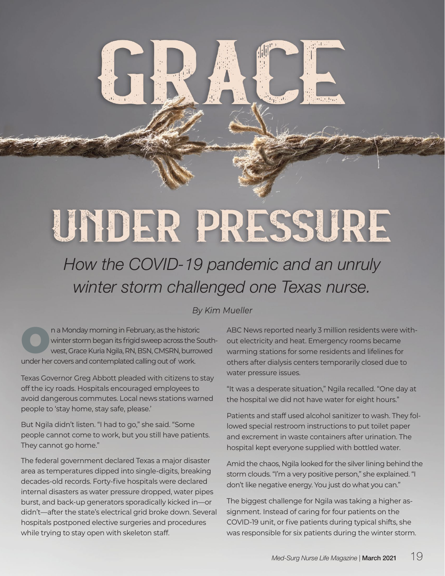## UNDER PRESSURE

## *How the COVID-19 pandemic and an unruly winter storm challenged one Texas nurse.*

## *By Kim Mueller*

n a Monday morning in February, as the historic<br>Winter storm began its frigid sweep across the State West, Grace Kuria Ngila, RN, BSN, CMSRN, burrow winter storm began its frigid sweep across the Southwest, Grace Kuria Ngila, RN, BSN, CMSRN, burrowed under her covers and contemplated calling out of work.

Texas Governor Greg Abbott pleaded with citizens to stay off the icy roads. Hospitals encouraged employees to avoid dangerous commutes. Local news stations warned people to 'stay home, stay safe, please.'

But Ngila didn't listen. "I had to go," she said. "Some people cannot come to work, but you still have patients. They cannot go home."

The federal government declared Texas a major disaster area as temperatures dipped into single-digits, breaking decades-old records. Forty-five hospitals were declared internal disasters as water pressure dropped, water pipes burst, and back-up generators sporadically kicked in—or didn't—after the state's electrical grid broke down. Several hospitals postponed elective surgeries and procedures while trying to stay open with skeleton staff.

ABC News reported nearly 3 million residents were without electricity and heat. Emergency rooms became warming stations for some residents and lifelines for others after dialysis centers temporarily closed due to water pressure issues.

"It was a desperate situation," Ngila recalled. "One day at the hospital we did not have water for eight hours."

Patients and staff used alcohol sanitizer to wash. They followed special restroom instructions to put toilet paper and excrement in waste containers after urination. The hospital kept everyone supplied with bottled water.

Amid the chaos, Ngila looked for the silver lining behind the storm clouds. "I'm a very positive person," she explained. "I don't like negative energy. You just do what you can."

The biggest challenge for Ngila was taking a higher assignment. Instead of caring for four patients on the COVID-19 unit, or five patients during typical shifts, she was responsible for six patients during the winter storm.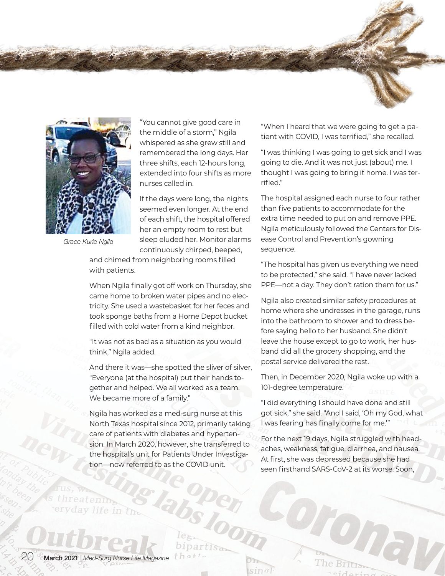



*Grace Kuria Ngila*

"You cannot give good care in the middle of a storm," Ngila whispered as she grew still and remembered the long days. Her three shifts, each 12-hours long, extended into four shifts as more nurses called in.

If the days were long, the nights seemed even longer. At the end of each shift, the hospital offered her an empty room to rest but sleep eluded her. Monitor alarms continuously chirped, beeped,

and chimed from neighboring rooms filled with patients.

When Ngila finally got off work on Thursday, she came home to broken water pipes and no electricity. She used a wastebasket for her feces and took sponge baths from a Home Depot bucket filled with cold water from a kind neighbor.

"It was not as bad as a situation as you would think," Ngila added.

And there it was—she spotted the sliver of silver, "Everyone (at the hospital) put their hands together and helped. We all worked as a team. We became more of a family."

Ngila has worked as a med-surg nurse at this North Texas hospital since 2012, primarily taking care of patients with diabetes and hypertension. In March 2020, however, she transferred to the hospital's unit for Patients Under Investigation—now referred to as the COVID unit.

bipartisan

 $sin \sigma$ 

 $that$ .

"When I heard that we were going to get a patient with COVID, I was terrified," she recalled.

"I was thinking I was going to get sick and I was going to die. And it was not just (about) me. I thought I was going to bring it home. I was terrified."

The hospital assigned each nurse to four rather than five patients to accommodate for the extra time needed to put on and remove PPE. Ngila meticulously followed the Centers for Disease Control and Prevention's gowning sequence.

"The hospital has given us everything we need to be protected," she said. "I have never lacked PPE—not a day. They don't ration them for us."

Ngila also created similar safety procedures at home where she undresses in the garage, runs into the bathroom to shower and to dress before saying hello to her husband. She didn't leave the house except to go to work, her husband did all the grocery shopping, and the postal service delivered the rest.

Then, in December 2020, Ngila woke up with a 101-degree temperature.

"I did everything I should have done and still got sick," she said. "And I said, 'Oh my God, what I was fearing has finally come for me.'"

For the next 19 days, Ngila struggled with headaches, weakness, fatigue, diarrhea, and nausea. At first, she was depressed because she had seen firsthand SARS-CoV-2 at its worse. Soon,

Diona

The Britism

 $\cdot$ cidoris

20 March 2021 | *Med-Surg Nurse Life Magazine*

s threatening

eryday life in the